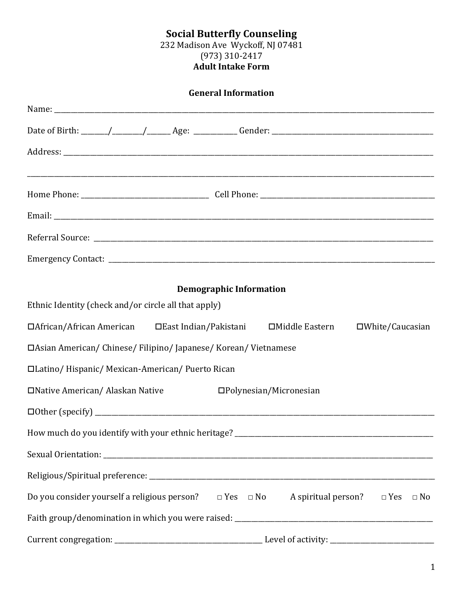#### **Social Butterfly Counseling** 232 Madison Ave Wyckoff, NJ 07481 (973) 310-2417 **Adult Intake Form**

| <b>General Information</b>                                                                                 |
|------------------------------------------------------------------------------------------------------------|
|                                                                                                            |
|                                                                                                            |
|                                                                                                            |
|                                                                                                            |
|                                                                                                            |
|                                                                                                            |
|                                                                                                            |
|                                                                                                            |
| <b>Demographic Information</b>                                                                             |
| Ethnic Identity (check and/or circle all that apply)                                                       |
| □African/African American □East Indian/Pakistani □Middle Eastern<br>$\square$ White/Caucasian              |
| □Asian American/ Chinese/ Filipino/ Japanese/ Korean/ Vietnamese                                           |
| □Latino/Hispanic/Mexican-American/Puerto Rican                                                             |
| □Native American/ Alaskan Native<br>$\square$ Polynesian/Micronesian                                       |
|                                                                                                            |
|                                                                                                            |
|                                                                                                            |
|                                                                                                            |
| Do you consider yourself a religious person? $\Box$ Yes $\Box$ No A spiritual person? $\Box$ Yes $\Box$ No |
|                                                                                                            |
|                                                                                                            |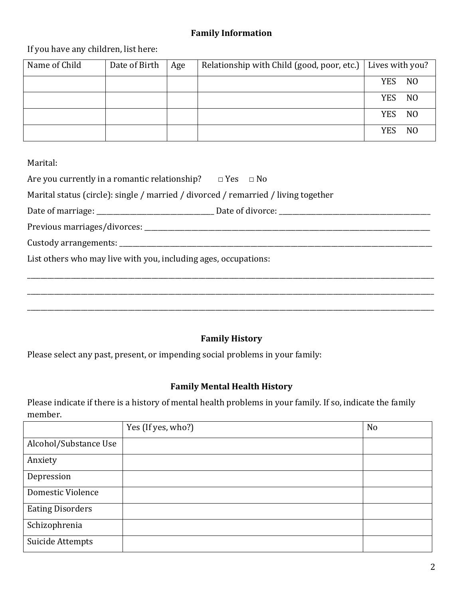## **Family Information**

If you have any children, list here:

| Name of Child | Date of Birth | Age | Relationship with Child (good, poor, etc.) | Lives with you? |                |
|---------------|---------------|-----|--------------------------------------------|-----------------|----------------|
|               |               |     |                                            | <b>YES</b>      | N <sub>O</sub> |
|               |               |     |                                            | <b>YES</b>      | N <sub>O</sub> |
|               |               |     |                                            | <b>YES</b>      | N <sub>O</sub> |
|               |               |     |                                            | <b>YES</b>      | N <sub>O</sub> |

Marital:

| Are you currently in a romantic relationship? $\Box$ Yes $\Box$ No                 |  |
|------------------------------------------------------------------------------------|--|
| Marital status (circle): single / married / divorced / remarried / living together |  |
|                                                                                    |  |
|                                                                                    |  |
|                                                                                    |  |
| List others who may live with you, including ages, occupations:                    |  |
|                                                                                    |  |
|                                                                                    |  |
|                                                                                    |  |
|                                                                                    |  |

# **Family History**

Please select any past, present, or impending social problems in your family:

# **Family Mental Health History**

Please indicate if there is a history of mental health problems in your family. If so, indicate the family member.

|                         | Yes (If yes, who?) | N <sub>o</sub> |
|-------------------------|--------------------|----------------|
| Alcohol/Substance Use   |                    |                |
| Anxiety                 |                    |                |
| Depression              |                    |                |
| Domestic Violence       |                    |                |
| <b>Eating Disorders</b> |                    |                |
| Schizophrenia           |                    |                |
| Suicide Attempts        |                    |                |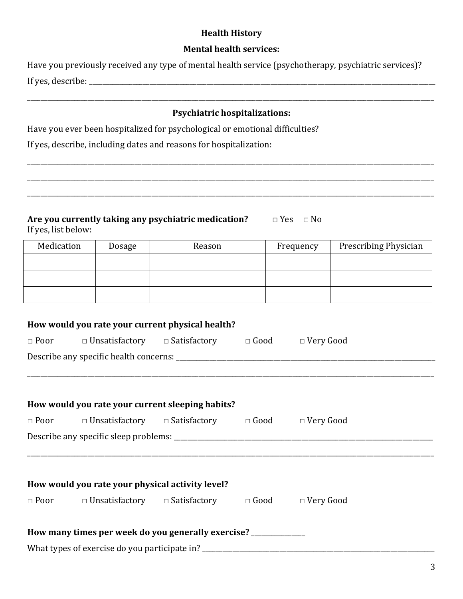### **Health History**

### **Mental health services:**

| Have you previously received any type of mental health service (psychotherapy, psychiatric services)? |  |
|-------------------------------------------------------------------------------------------------------|--|
| If yes, describe: _                                                                                   |  |

### **Psychiatric hospitalizations:**

\_\_\_\_\_\_\_\_\_\_\_\_\_\_\_\_\_\_\_\_\_\_\_\_\_\_\_\_\_\_\_\_\_\_\_\_\_\_\_\_\_\_\_\_\_\_\_\_\_\_\_\_\_\_\_\_\_\_\_\_\_\_\_\_\_\_\_\_\_\_\_\_\_\_\_\_\_\_\_\_\_\_\_\_\_\_\_\_\_\_\_\_\_\_\_\_\_\_\_\_\_\_\_\_\_\_\_\_\_\_\_\_\_\_\_\_\_\_\_\_\_

\_\_\_\_\_\_\_\_\_\_\_\_\_\_\_\_\_\_\_\_\_\_\_\_\_\_\_\_\_\_\_\_\_\_\_\_\_\_\_\_\_\_\_\_\_\_\_\_\_\_\_\_\_\_\_\_\_\_\_\_\_\_\_\_\_\_\_\_\_\_\_\_\_\_\_\_\_\_\_\_\_\_\_\_\_\_\_\_\_\_\_\_\_\_\_\_\_\_\_\_\_\_\_\_\_\_\_\_\_\_\_\_\_\_\_\_\_\_\_\_\_

\_\_\_\_\_\_\_\_\_\_\_\_\_\_\_\_\_\_\_\_\_\_\_\_\_\_\_\_\_\_\_\_\_\_\_\_\_\_\_\_\_\_\_\_\_\_\_\_\_\_\_\_\_\_\_\_\_\_\_\_\_\_\_\_\_\_\_\_\_\_\_\_\_\_\_\_\_\_\_\_\_\_\_\_\_\_\_\_\_\_\_\_\_\_\_\_\_\_\_\_\_\_\_\_\_\_\_\_\_\_\_\_\_\_\_\_\_\_\_\_\_

Have you ever been hospitalized for psychological or emotional difficulties?

If yes, describe, including dates and reasons for hospitalization:

| Are you currently taking any psychiatric medication? | $\Box$ Yes $\Box$ No |  |
|------------------------------------------------------|----------------------|--|
| If yes, list below:                                  |                      |  |

| Medication | Dosage | Reason | Frequency | Prescribing Physician |
|------------|--------|--------|-----------|-----------------------|
|            |        |        |           |                       |
|            |        |        |           |                       |
|            |        |        |           |                       |

|                                                                   | How would you rate your current physical health?                                   |  |  |  |  |  |  |  |
|-------------------------------------------------------------------|------------------------------------------------------------------------------------|--|--|--|--|--|--|--|
| □ Poor □ Unsatisfactory □ Satisfactory □ Good □ Very Good         |                                                                                    |  |  |  |  |  |  |  |
|                                                                   |                                                                                    |  |  |  |  |  |  |  |
|                                                                   |                                                                                    |  |  |  |  |  |  |  |
|                                                                   |                                                                                    |  |  |  |  |  |  |  |
|                                                                   | How would you rate your current sleeping habits?                                   |  |  |  |  |  |  |  |
|                                                                   | □ Poor □ Unsatisfactory □ Satisfactory □ Good □ Very Good                          |  |  |  |  |  |  |  |
|                                                                   |                                                                                    |  |  |  |  |  |  |  |
|                                                                   |                                                                                    |  |  |  |  |  |  |  |
|                                                                   |                                                                                    |  |  |  |  |  |  |  |
|                                                                   | How would you rate your physical activity level?                                   |  |  |  |  |  |  |  |
|                                                                   | $\Box$ Poor $\Box$ Unsatisfactory $\Box$ Satisfactory $\Box$ Good $\Box$ Very Good |  |  |  |  |  |  |  |
|                                                                   |                                                                                    |  |  |  |  |  |  |  |
| How many times per week do you generally exercise? ______________ |                                                                                    |  |  |  |  |  |  |  |
|                                                                   |                                                                                    |  |  |  |  |  |  |  |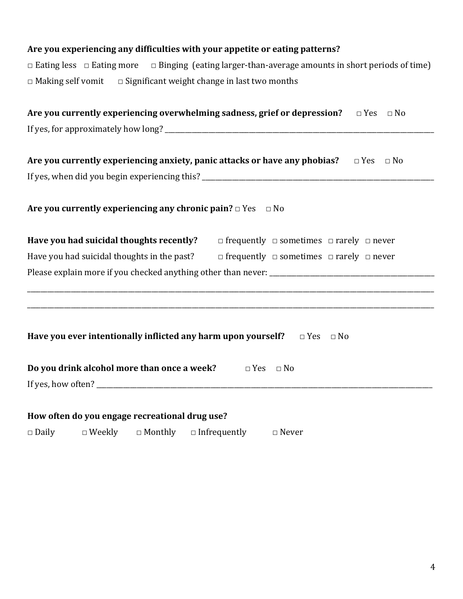## Are you experiencing any difficulties with your appetite or eating patterns?

 $\Box$  Eating less  $\Box$  Eating more  $\Box$  Binging (eating larger-than-average amounts in short periods of time)  $\Box$  Making self vomit  $\Box$  Significant weight change in last two months

| Are you currently experiencing overwhelming sadness, grief or depression? $\Box$ Yes $\Box$ No                                                                                                                                                                                                                                                     |
|----------------------------------------------------------------------------------------------------------------------------------------------------------------------------------------------------------------------------------------------------------------------------------------------------------------------------------------------------|
|                                                                                                                                                                                                                                                                                                                                                    |
| Are you currently experiencing anxiety, panic attacks or have any phobias? $\Box$ Yes $\Box$ No                                                                                                                                                                                                                                                    |
|                                                                                                                                                                                                                                                                                                                                                    |
| Are you currently experiencing any chronic pain? $\Box$ Yes $\Box$ No                                                                                                                                                                                                                                                                              |
| Have you had suicidal thoughts recently?<br>$\Box$ frequently $\Box$ sometimes $\Box$ rarely $\Box$ never                                                                                                                                                                                                                                          |
| Have you had suicidal thoughts in the past?<br>$\Box$ frequently $\Box$ sometimes $\Box$ rarely $\Box$ never                                                                                                                                                                                                                                       |
|                                                                                                                                                                                                                                                                                                                                                    |
| ,我们也不会有什么。""我们的人,我们也不会有什么?""我们的人,我们也不会有什么?""我们的人,我们也不会有什么?""我们的人,我们也不会有什么?""我们的人<br>,我们也不会有什么。""我们的人,我们也不会有什么?""我们的人,我们也不会有什么?""我们的人,我们也不会有什么?""我们的人,我们也不会有什么?""我们的人<br>Have you ever intentionally inflicted any harm upon yourself?<br>$\Box$ Yes $\Box$ No                                                                                      |
| Do you drink alcohol more than once a week?<br>$\Box$ Yes $\Box$ No                                                                                                                                                                                                                                                                                |
| How often do you engage recreational drug use?<br>$\mathbf{r}$ and $\mathbf{r}$ are $\mathbf{r}$ and $\mathbf{r}$ are $\mathbf{r}$ and $\mathbf{r}$ are $\mathbf{r}$ and $\mathbf{r}$ are $\mathbf{r}$ and $\mathbf{r}$ are $\mathbf{r}$ and $\mathbf{r}$ are $\mathbf{r}$ and $\mathbf{r}$ are $\mathbf{r}$ and $\mathbf{r}$ are $\mathbf{r}$ and |

□ Daily □ Weekly □ Monthly □ Infrequently □ Never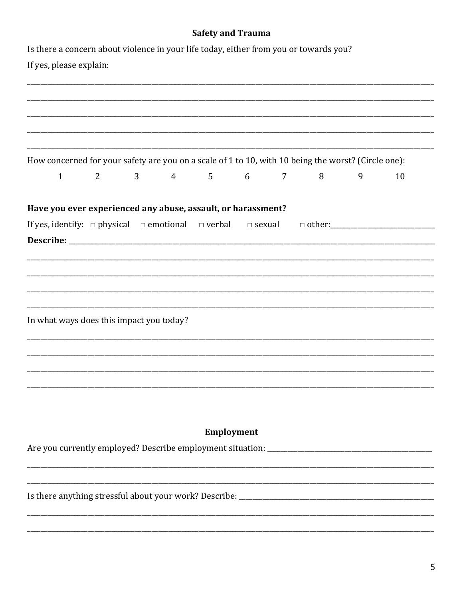|                                                                                                     |   |   |                 | <b>Safety and Trauma</b> |            |             |   |   |    |
|-----------------------------------------------------------------------------------------------------|---|---|-----------------|--------------------------|------------|-------------|---|---|----|
| Is there a concern about violence in your life today, either from you or towards you?               |   |   |                 |                          |            |             |   |   |    |
| If yes, please explain:                                                                             |   |   |                 |                          |            |             |   |   |    |
|                                                                                                     |   |   |                 |                          |            |             |   |   |    |
|                                                                                                     |   |   |                 |                          |            |             |   |   |    |
|                                                                                                     |   |   |                 |                          |            |             |   |   |    |
|                                                                                                     |   |   |                 |                          |            |             |   |   |    |
|                                                                                                     |   |   |                 |                          |            |             |   |   |    |
| How concerned for your safety are you on a scale of 1 to 10, with 10 being the worst? (Circle one): |   |   |                 |                          |            |             |   |   |    |
| $\mathbf{1}$                                                                                        | 2 | 3 | $4\overline{ }$ | 5                        | 6          | $7^{\circ}$ | 8 | 9 | 10 |
|                                                                                                     |   |   |                 |                          |            |             |   |   |    |
| Have you ever experienced any abuse, assault, or harassment?                                        |   |   |                 |                          |            |             |   |   |    |
| If yes, identify: $\Box$ physical $\Box$ emotional $\Box$ verbal $\Box$ sexual                      |   |   |                 |                          |            |             |   |   |    |
|                                                                                                     |   |   |                 |                          |            |             |   |   |    |
|                                                                                                     |   |   |                 |                          |            |             |   |   |    |
|                                                                                                     |   |   |                 |                          |            |             |   |   |    |
|                                                                                                     |   |   |                 |                          |            |             |   |   |    |
|                                                                                                     |   |   |                 |                          |            |             |   |   |    |
| In what ways does this impact you today?                                                            |   |   |                 |                          |            |             |   |   |    |
|                                                                                                     |   |   |                 |                          |            |             |   |   |    |
|                                                                                                     |   |   |                 |                          |            |             |   |   |    |
|                                                                                                     |   |   |                 |                          |            |             |   |   |    |
|                                                                                                     |   |   |                 |                          |            |             |   |   |    |
|                                                                                                     |   |   |                 |                          |            |             |   |   |    |
|                                                                                                     |   |   |                 |                          |            |             |   |   |    |
|                                                                                                     |   |   |                 |                          |            |             |   |   |    |
|                                                                                                     |   |   |                 |                          | Employment |             |   |   |    |
|                                                                                                     |   |   |                 |                          |            |             |   |   |    |
|                                                                                                     |   |   |                 |                          |            |             |   |   |    |
|                                                                                                     |   |   |                 |                          |            |             |   |   |    |